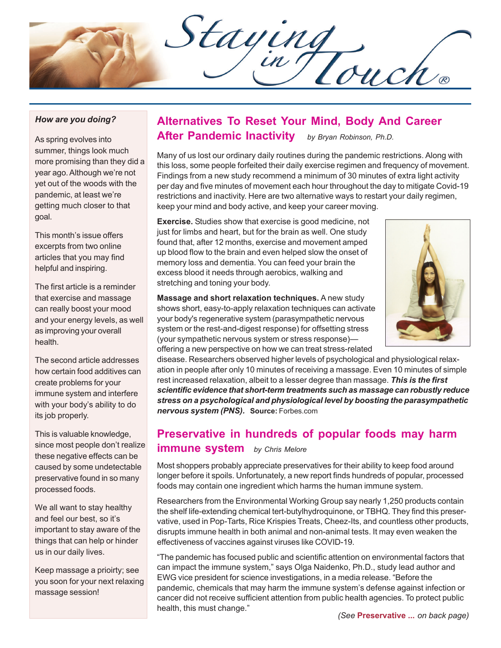Staying

### *How are you doing?*

As spring evolves into summer, things look much more promising than they did a year ago. Although we're not yet out of the woods with the pandemic, at least we're getting much closer to that goal.

This month's issue offers excerpts from two online articles that you may find helpful and inspiring.

The first article is a reminder that exercise and massage can really boost your mood and your energy levels, as well as improving your overall health.

The second article addresses how certain food additives can create problems for your immune system and interfere with your body's ability to do its job properly.

This is valuable knowledge, since most people don't realize these negative effects can be caused by some undetectable preservative found in so many processed foods.

We all want to stay healthy and feel our best, so it's important to stay aware of the things that can help or hinder us in our daily lives.

Keep massage a prioirty; see you soon for your next relaxing massage session!

# **Alternatives To Reset Your Mind, Body And Career After Pandemic Inactivity** *by Bryan Robinson, Ph.D.*

Many of us lost our ordinary daily routines during the pandemic restrictions. Along with this loss, some people forfeited their daily exercise regimen and frequency of movement. Findings from a new study recommend a minimum of 30 minutes of extra light activity per day and five minutes of movement each hour throughout the day to mitigate Covid-19 restrictions and inactivity. Here are two alternative ways to restart your daily regimen, keep your mind and body active, and keep your career moving.

**Exercise.** Studies show that exercise is good medicine, not just for limbs and heart, but for the brain as well. One study found that, after 12 months, exercise and movement amped up blood flow to the brain and even helped slow the onset of memory loss and dementia. You can feed your brain the excess blood it needs through aerobics, walking and stretching and toning your body.

**Massage and short relaxation techniques.** A new study shows short, easy-to-apply relaxation techniques can activate your body's regenerative system (parasympathetic nervous system or the rest-and-digest response) for offsetting stress (your sympathetic nervous system or stress response) offering a new perspective on how we can treat stress-related



disease. Researchers observed higher levels of psychological and physiological relaxation in people after only 10 minutes of receiving a massage. Even 10 minutes of simple rest increased relaxation, albeit to a lesser degree than massage. *This is the first scientific evidence that short-term treatments such as massage can robustly reduce stress on a psychological and physiological level by boosting the parasympathetic nervous system (PNS).* **Source:** Forbes.com

## **Preservative in hundreds of popular foods may harm immune system** *by Chris Melore*

Most shoppers probably appreciate preservatives for their ability to keep food around longer before it spoils. Unfortunately, a new report finds hundreds of popular, processed foods may contain one ingredient which harms the human immune system.

Researchers from the Environmental Working Group say nearly 1,250 products contain the shelf life-extending chemical tert-butylhydroquinone, or TBHQ. They find this preservative, used in Pop-Tarts, Rice Krispies Treats, Cheez-Its, and countless other products, disrupts immune health in both animal and non-animal tests. It may even weaken the effectiveness of vaccines against viruses like COVID-19.

"The pandemic has focused public and scientific attention on environmental factors that can impact the immune system," says Olga Naidenko, Ph.D., study lead author and EWG vice president for science investigations, in a media release. "Before the pandemic, chemicals that may harm the immune system's defense against infection or cancer did not receive sufficient attention from public health agencies. To protect public health, this must change."